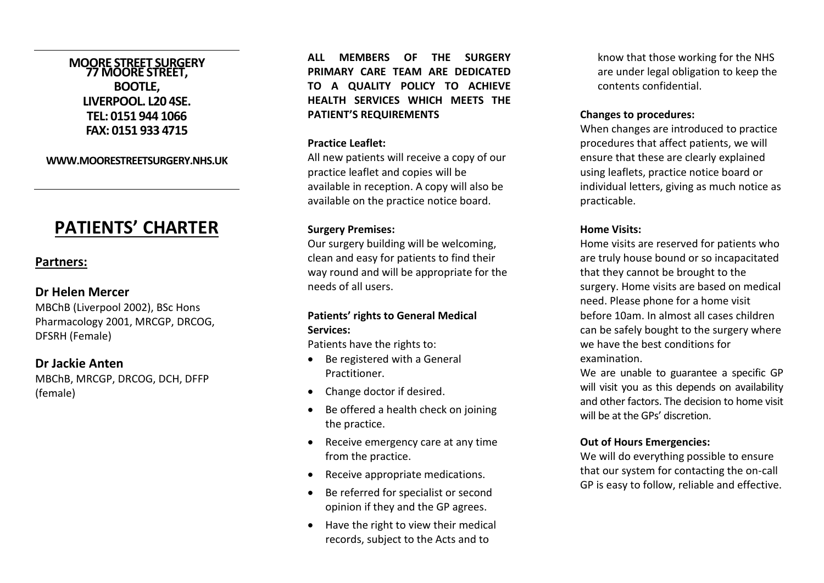## **MOORE STREET SURGERY 77 MOORE STREET, BOOTLE, LIVERPOOL. L20 4SE. TEL: 0151 944 1066 FAX: 0151 933 4715**

**WWW.MOORESTREETSURGERY.NHS.UK**

# **PATIENTS' CHARTER**

## **Partners:**

## **Dr Helen Mercer**

MBChB (Liverpool 2002), BSc Hons Pharmacology 2001, MRCGP, DRCOG, DFSRH (Female)

# **Dr Jackie Anten**

MBChB, MRCGP, DRCOG, DCH, DFFP (female)

**ALL MEMBERS OF THE SURGERY PRIMARY CARE TEAM ARE DEDICATED TO A QUALITY POLICY TO ACHIEVE HEALTH SERVICES WHICH MEETS THE PATIENT'S REQUIREMENTS**

#### **Practice Leaflet:**

All new patients will receive a copy of our practice leaflet and copies will be available in reception. A copy will also be available on the practice notice board.

#### **Surgery Premises:**

Our surgery building will be welcoming, clean and easy for patients to find their way round and will be appropriate for the needs of all users.

## **Patients' rights to General Medical Services:**

Patients have the rights to:

- Be registered with a General Practitioner.
- Change doctor if desired.
- Be offered a health check on joining the practice.
- Receive emergency care at any time from the practice.
- Receive appropriate medications.
- Be referred for specialist or second opinion if they and the GP agrees.
- Have the right to view their medical records, subject to the Acts and to

know that those working for the NHS are under legal obligation to keep the contents confidential.

#### **Changes to procedures:**

When changes are introduced to practice procedures that affect patients, we will ensure that these are clearly explained using leaflets, practice notice board or individual letters, giving as much notice as practicable.

#### **Home Visits:**

Home visits are reserved for patients who are truly house bound or so incapacitated that they cannot be brought to the surgery. Home visits are based on medical need. Please phone for a home visit before 10am. In almost all cases children can be safely bought to the surgery where we have the best conditions for examination.

We are unable to guarantee a specific GP will visit you as this depends on availability and other factors. The decision to home visit will be at the GPs' discretion.

#### **Out of Hours Emergencies:**

We will do everything possible to ensure that our system for contacting the on-call GP is easy to follow, reliable and effective.